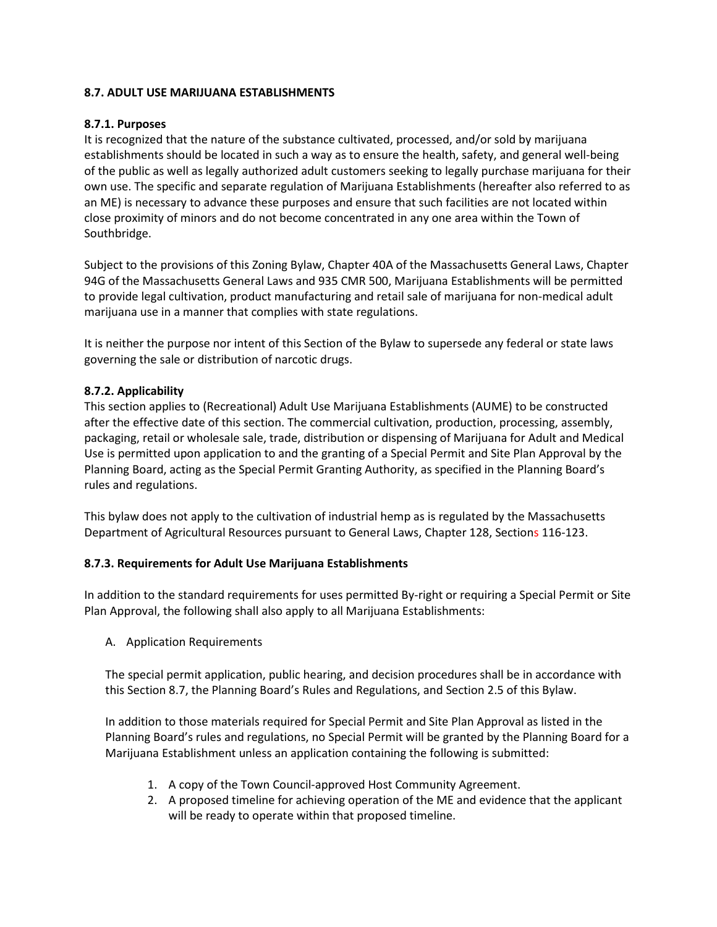## **8.7. ADULT USE MARIJUANA ESTABLISHMENTS**

### **8.7.1. Purposes**

It is recognized that the nature of the substance cultivated, processed, and/or sold by marijuana establishments should be located in such a way as to ensure the health, safety, and general well-being of the public as well as legally authorized adult customers seeking to legally purchase marijuana for their own use. The specific and separate regulation of Marijuana Establishments (hereafter also referred to as an ME) is necessary to advance these purposes and ensure that such facilities are not located within close proximity of minors and do not become concentrated in any one area within the Town of Southbridge.

Subject to the provisions of this Zoning Bylaw, Chapter 40A of the Massachusetts General Laws, Chapter 94G of the Massachusetts General Laws and 935 CMR 500, Marijuana Establishments will be permitted to provide legal cultivation, product manufacturing and retail sale of marijuana for non-medical adult marijuana use in a manner that complies with state regulations.

It is neither the purpose nor intent of this Section of the Bylaw to supersede any federal or state laws governing the sale or distribution of narcotic drugs.

## **8.7.2. Applicability**

This section applies to (Recreational) Adult Use Marijuana Establishments (AUME) to be constructed after the effective date of this section. The commercial cultivation, production, processing, assembly, packaging, retail or wholesale sale, trade, distribution or dispensing of Marijuana for Adult and Medical Use is permitted upon application to and the granting of a Special Permit and Site Plan Approval by the Planning Board, acting as the Special Permit Granting Authority, as specified in the Planning Board's rules and regulations.

This bylaw does not apply to the cultivation of industrial hemp as is regulated by the Massachusetts Department of Agricultural Resources pursuant to General Laws, Chapter 128, Sections 116-123.

#### **8.7.3. Requirements for Adult Use Marijuana Establishments**

In addition to the standard requirements for uses permitted By-right or requiring a Special Permit or Site Plan Approval, the following shall also apply to all Marijuana Establishments:

A. Application Requirements

The special permit application, public hearing, and decision procedures shall be in accordance with this Section 8.7, the Planning Board's Rules and Regulations, and Section 2.5 of this Bylaw.

In addition to those materials required for Special Permit and Site Plan Approval as listed in the Planning Board's rules and regulations, no Special Permit will be granted by the Planning Board for a Marijuana Establishment unless an application containing the following is submitted:

- 1. A copy of the Town Council-approved Host Community Agreement.
- 2. A proposed timeline for achieving operation of the ME and evidence that the applicant will be ready to operate within that proposed timeline.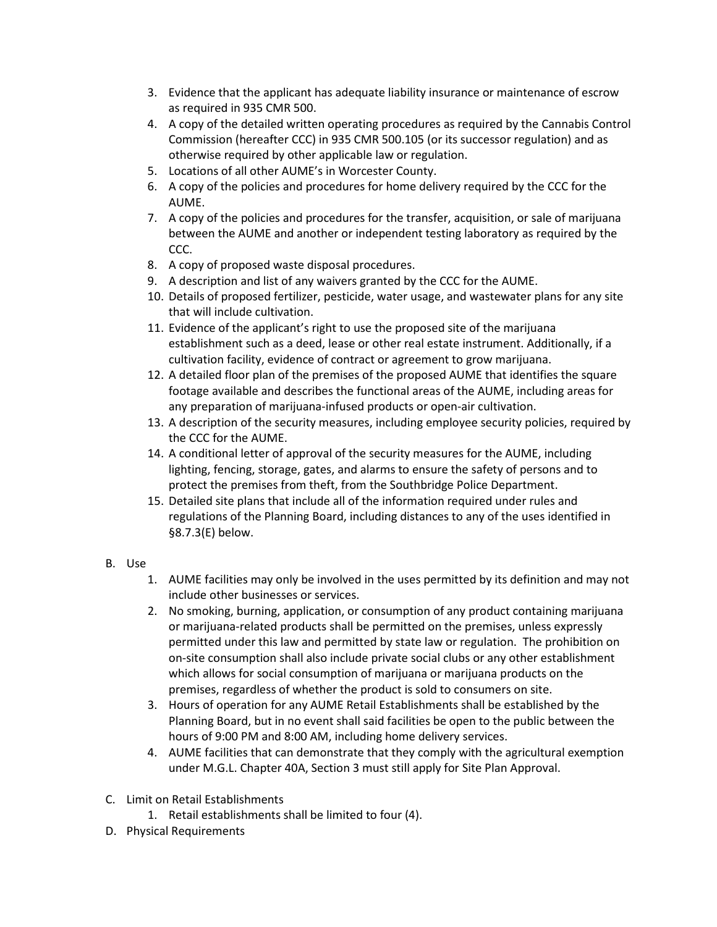- 3. Evidence that the applicant has adequate liability insurance or maintenance of escrow as required in 935 CMR 500.
- 4. A copy of the detailed written operating procedures as required by the Cannabis Control Commission (hereafter CCC) in 935 CMR 500.105 (or its successor regulation) and as otherwise required by other applicable law or regulation.
- 5. Locations of all other AUME's in Worcester County.
- 6. A copy of the policies and procedures for home delivery required by the CCC for the AUME.
- 7. A copy of the policies and procedures for the transfer, acquisition, or sale of marijuana between the AUME and another or independent testing laboratory as required by the CCC.
- 8. A copy of proposed waste disposal procedures.
- 9. A description and list of any waivers granted by the CCC for the AUME.
- 10. Details of proposed fertilizer, pesticide, water usage, and wastewater plans for any site that will include cultivation.
- 11. Evidence of the applicant's right to use the proposed site of the marijuana establishment such as a deed, lease or other real estate instrument. Additionally, if a cultivation facility, evidence of contract or agreement to grow marijuana.
- 12. A detailed floor plan of the premises of the proposed AUME that identifies the square footage available and describes the functional areas of the AUME, including areas for any preparation of marijuana-infused products or open-air cultivation.
- 13. A description of the security measures, including employee security policies, required by the CCC for the AUME.
- 14. A conditional letter of approval of the security measures for the AUME, including lighting, fencing, storage, gates, and alarms to ensure the safety of persons and to protect the premises from theft, from the Southbridge Police Department.
- 15. Detailed site plans that include all of the information required under rules and regulations of the Planning Board, including distances to any of the uses identified in §8.7.3(E) below.
- B. Use
	- 1. AUME facilities may only be involved in the uses permitted by its definition and may not include other businesses or services.
	- 2. No smoking, burning, application, or consumption of any product containing marijuana or marijuana-related products shall be permitted on the premises, unless expressly permitted under this law and permitted by state law or regulation. The prohibition on on-site consumption shall also include private social clubs or any other establishment which allows for social consumption of marijuana or marijuana products on the premises, regardless of whether the product is sold to consumers on site.
	- 3. Hours of operation for any AUME Retail Establishments shall be established by the Planning Board, but in no event shall said facilities be open to the public between the hours of 9:00 PM and 8:00 AM, including home delivery services.
	- 4. AUME facilities that can demonstrate that they comply with the agricultural exemption under M.G.L. Chapter 40A, Section 3 must still apply for Site Plan Approval.
- C. Limit on Retail Establishments
	- 1. Retail establishments shall be limited to four (4).
- D. Physical Requirements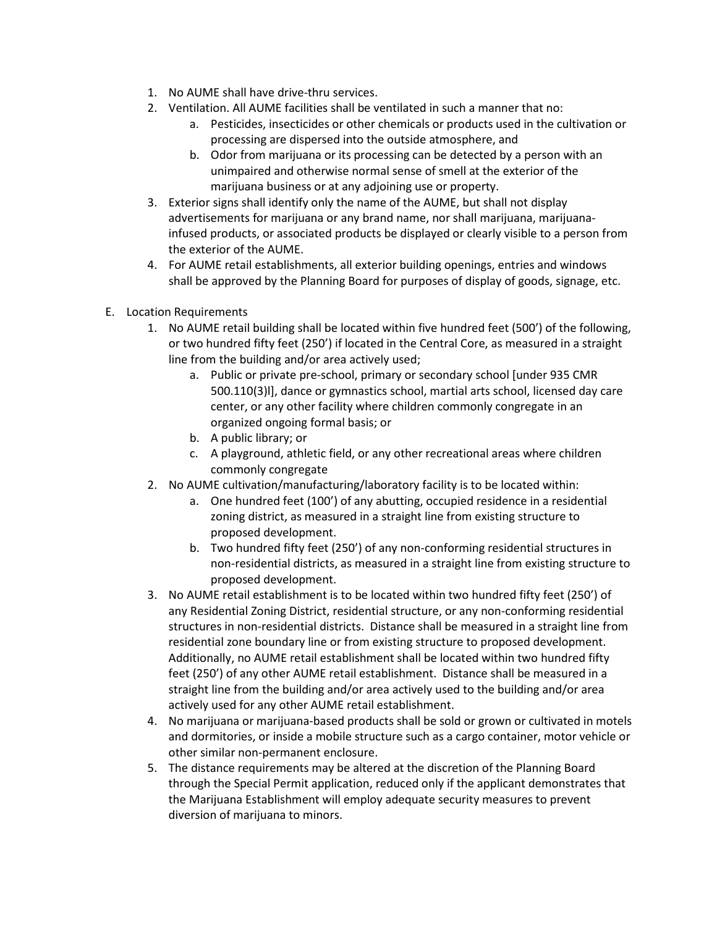- 1. No AUME shall have drive-thru services.
- 2. Ventilation. All AUME facilities shall be ventilated in such a manner that no:
	- a. Pesticides, insecticides or other chemicals or products used in the cultivation or processing are dispersed into the outside atmosphere, and
	- b. Odor from marijuana or its processing can be detected by a person with an unimpaired and otherwise normal sense of smell at the exterior of the marijuana business or at any adjoining use or property.
- 3. Exterior signs shall identify only the name of the AUME, but shall not display advertisements for marijuana or any brand name, nor shall marijuana, marijuanainfused products, or associated products be displayed or clearly visible to a person from the exterior of the AUME.
- 4. For AUME retail establishments, all exterior building openings, entries and windows shall be approved by the Planning Board for purposes of display of goods, signage, etc.
- E. Location Requirements
	- 1. No AUME retail building shall be located within five hundred feet (500') of the following, or two hundred fifty feet (250') if located in the Central Core, as measured in a straight line from the building and/or area actively used;
		- a. Public or private pre-school, primary or secondary school [under 935 CMR 500.110(3)l], dance or gymnastics school, martial arts school, licensed day care center, or any other facility where children commonly congregate in an organized ongoing formal basis; or
		- b. A public library; or
		- c. A playground, athletic field, or any other recreational areas where children commonly congregate
	- 2. No AUME cultivation/manufacturing/laboratory facility is to be located within:
		- a. One hundred feet (100') of any abutting, occupied residence in a residential zoning district, as measured in a straight line from existing structure to proposed development.
		- b. Two hundred fifty feet (250') of any non-conforming residential structures in non-residential districts, as measured in a straight line from existing structure to proposed development.
	- 3. No AUME retail establishment is to be located within two hundred fifty feet (250') of any Residential Zoning District, residential structure, or any non-conforming residential structures in non-residential districts. Distance shall be measured in a straight line from residential zone boundary line or from existing structure to proposed development. Additionally, no AUME retail establishment shall be located within two hundred fifty feet (250') of any other AUME retail establishment. Distance shall be measured in a straight line from the building and/or area actively used to the building and/or area actively used for any other AUME retail establishment.
	- 4. No marijuana or marijuana-based products shall be sold or grown or cultivated in motels and dormitories, or inside a mobile structure such as a cargo container, motor vehicle or other similar non-permanent enclosure.
	- 5. The distance requirements may be altered at the discretion of the Planning Board through the Special Permit application, reduced only if the applicant demonstrates that the Marijuana Establishment will employ adequate security measures to prevent diversion of marijuana to minors.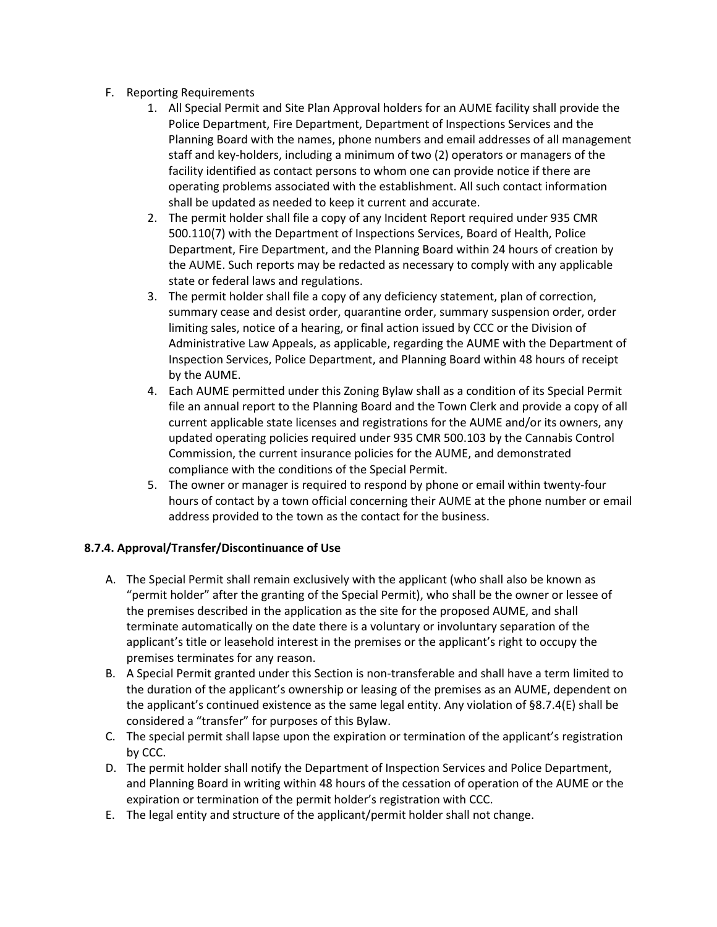- F. Reporting Requirements
	- 1. All Special Permit and Site Plan Approval holders for an AUME facility shall provide the Police Department, Fire Department, Department of Inspections Services and the Planning Board with the names, phone numbers and email addresses of all management staff and key-holders, including a minimum of two (2) operators or managers of the facility identified as contact persons to whom one can provide notice if there are operating problems associated with the establishment. All such contact information shall be updated as needed to keep it current and accurate.
	- 2. The permit holder shall file a copy of any Incident Report required under 935 CMR 500.110(7) with the Department of Inspections Services, Board of Health, Police Department, Fire Department, and the Planning Board within 24 hours of creation by the AUME. Such reports may be redacted as necessary to comply with any applicable state or federal laws and regulations.
	- 3. The permit holder shall file a copy of any deficiency statement, plan of correction, summary cease and desist order, quarantine order, summary suspension order, order limiting sales, notice of a hearing, or final action issued by CCC or the Division of Administrative Law Appeals, as applicable, regarding the AUME with the Department of Inspection Services, Police Department, and Planning Board within 48 hours of receipt by the AUME.
	- 4. Each AUME permitted under this Zoning Bylaw shall as a condition of its Special Permit file an annual report to the Planning Board and the Town Clerk and provide a copy of all current applicable state licenses and registrations for the AUME and/or its owners, any updated operating policies required under 935 CMR 500.103 by the Cannabis Control Commission, the current insurance policies for the AUME, and demonstrated compliance with the conditions of the Special Permit.
	- 5. The owner or manager is required to respond by phone or email within twenty-four hours of contact by a town official concerning their AUME at the phone number or email address provided to the town as the contact for the business.

# **8.7.4. Approval/Transfer/Discontinuance of Use**

- A. The Special Permit shall remain exclusively with the applicant (who shall also be known as "permit holder" after the granting of the Special Permit), who shall be the owner or lessee of the premises described in the application as the site for the proposed AUME, and shall terminate automatically on the date there is a voluntary or involuntary separation of the applicant's title or leasehold interest in the premises or the applicant's right to occupy the premises terminates for any reason.
- B. A Special Permit granted under this Section is non-transferable and shall have a term limited to the duration of the applicant's ownership or leasing of the premises as an AUME, dependent on the applicant's continued existence as the same legal entity. Any violation of §8.7.4(E) shall be considered a "transfer" for purposes of this Bylaw.
- C. The special permit shall lapse upon the expiration or termination of the applicant's registration by CCC.
- D. The permit holder shall notify the Department of Inspection Services and Police Department, and Planning Board in writing within 48 hours of the cessation of operation of the AUME or the expiration or termination of the permit holder's registration with CCC.
- E. The legal entity and structure of the applicant/permit holder shall not change.